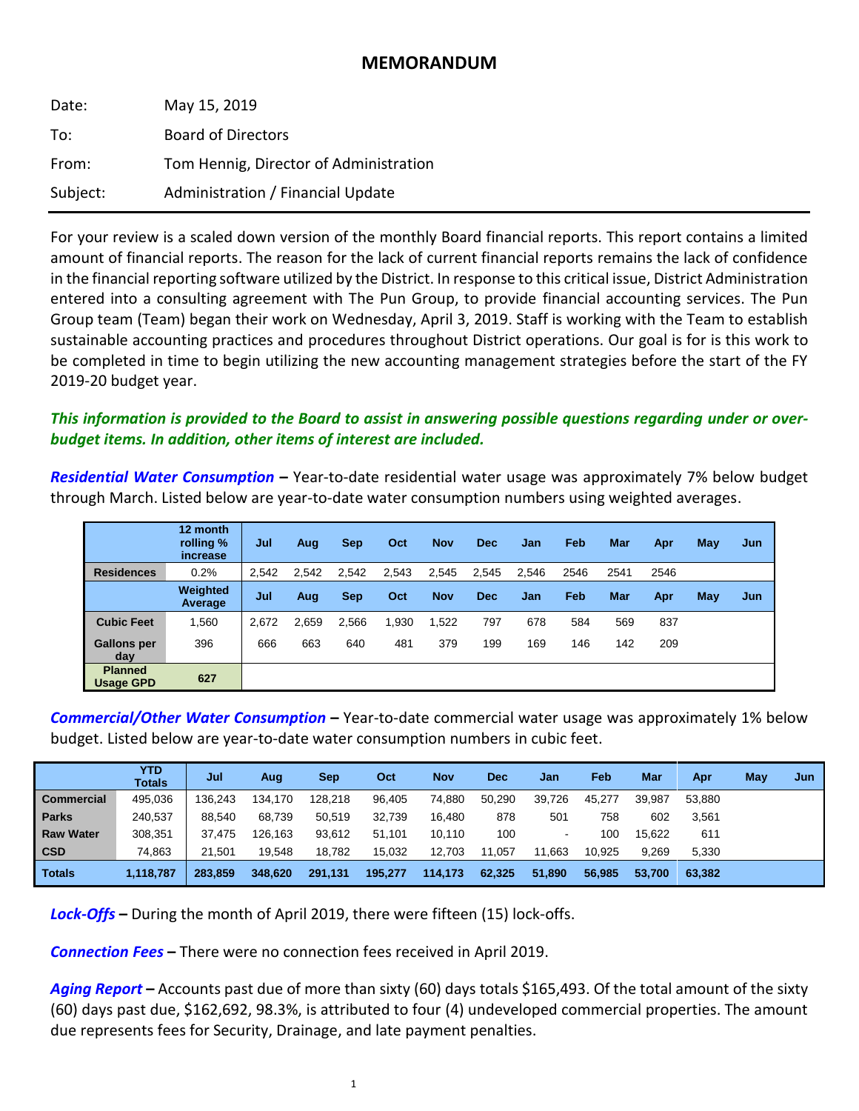# **MEMORANDUM**

| Date:    | May 15, 2019                           |
|----------|----------------------------------------|
| To:      | <b>Board of Directors</b>              |
| From:    | Tom Hennig, Director of Administration |
| Subject: | Administration / Financial Update      |

For your review is a scaled down version of the monthly Board financial reports. This report contains a limited amount of financial reports. The reason for the lack of current financial reports remains the lack of confidence in the financial reporting software utilized by the District. In response to this critical issue, District Administration entered into a consulting agreement with The Pun Group, to provide financial accounting services. The Pun Group team (Team) began their work on Wednesday, April 3, 2019. Staff is working with the Team to establish sustainable accounting practices and procedures throughout District operations. Our goal is for is this work to be completed in time to begin utilizing the new accounting management strategies before the start of the FY 2019-20 budget year.

# *This information is provided to the Board to assist in answering possible questions regarding under or overbudget items. In addition, other items of interest are included.*

*Residential Water Consumption* **–** Year-to-date residential water usage was approximately 7% below budget through March. Listed below are year-to-date water consumption numbers using weighted averages.

|                                    | 12 month<br>rolling %<br>increase | Jul   | Aug   | <b>Sep</b> | Oct   | <b>Nov</b> | <b>Dec</b> | Jan   | Feb  | Mar  | Apr  | May | Jun |
|------------------------------------|-----------------------------------|-------|-------|------------|-------|------------|------------|-------|------|------|------|-----|-----|
| <b>Residences</b>                  | 0.2%                              | 2,542 | 2,542 | 2,542      | 2.543 | 2,545      | 2.545      | 2.546 | 2546 | 2541 | 2546 |     |     |
|                                    | Weighted<br>Average               | Jul   | Aug   | <b>Sep</b> | Oct   | <b>Nov</b> | <b>Dec</b> | Jan   | Feb  | Mar  | Apr  | May | Jun |
| <b>Cubic Feet</b>                  | 1,560                             | 2,672 | 2.659 | 2,566      | 1,930 | 1,522      | 797        | 678   | 584  | 569  | 837  |     |     |
| <b>Gallons per</b><br>day          | 396                               | 666   | 663   | 640        | 481   | 379        | 199        | 169   | 146  | 142  | 209  |     |     |
| <b>Planned</b><br><b>Usage GPD</b> | 627                               |       |       |            |       |            |            |       |      |      |      |     |     |

*Commercial/Other Water Consumption* **–** Year-to-date commercial water usage was approximately 1% below budget. Listed below are year-to-date water consumption numbers in cubic feet.

|                   | <b>YTD</b><br><b>Totals</b> | Jul     | Aug     | <b>Sep</b> | Oct     | <b>Nov</b> | <b>Dec</b> | Jan                      | Feb    | Mar    | Apr    | May | Jun |
|-------------------|-----------------------------|---------|---------|------------|---------|------------|------------|--------------------------|--------|--------|--------|-----|-----|
| <b>Commercial</b> | 495,036                     | 136.243 | 134.170 | 128,218    | 96,405  | 74,880     | 50,290     | 39,726                   | 45,277 | 39,987 | 53.880 |     |     |
| <b>Parks</b>      | 240,537                     | 88.540  | 68.739  | 50.519     | 32.739  | 16.480     | 878        | 501                      | 758    | 602    | 3,561  |     |     |
| <b>Raw Water</b>  | 308,351                     | 37.475  | 126.163 | 93.612     | 51.101  | 10.110     | 100        | $\overline{\phantom{a}}$ | 100    | 15.622 | 611    |     |     |
| <b>CSD</b>        | 74.863                      | 21.501  | 19.548  | 18.782     | 15,032  | 12,703     | 11.057     | 11.663                   | 10.925 | 9.269  | 5.330  |     |     |
| <b>Totals</b>     | 1,118,787                   | 283.859 | 348,620 | 291,131    | 195,277 | 114,173    | 62,325     | 51,890                   | 56,985 | 53,700 | 63,382 |     |     |

*Lock-Offs* **–** During the month of April 2019, there were fifteen (15) lock-offs.

*Connection Fees* **–** There were no connection fees received in April 2019.

*Aging Report* **–** Accounts past due of more than sixty (60) days totals \$165,493. Of the total amount of the sixty (60) days past due, \$162,692, 98.3%, is attributed to four (4) undeveloped commercial properties. The amount due represents fees for Security, Drainage, and late payment penalties.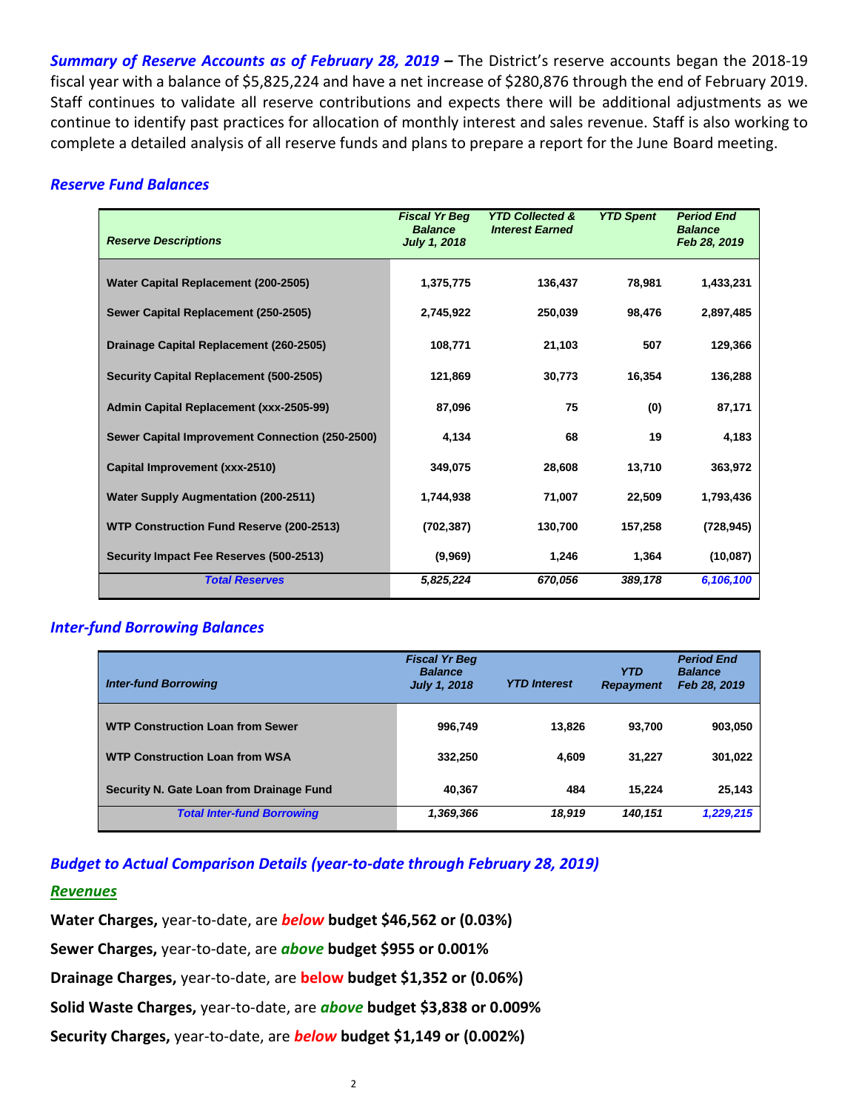*Summary of Reserve Accounts as of February 28, 2019 –* The District's reserve accounts began the 2018-19 fiscal year with a balance of \$5,825,224 and have a net increase of \$280,876 through the end of February 2019. Staff continues to validate all reserve contributions and expects there will be additional adjustments as we continue to identify past practices for allocation of monthly interest and sales revenue. Staff is also working to complete a detailed analysis of all reserve funds and plans to prepare a report for the June Board meeting.

### *Reserve Fund Balances*

| <b>Reserve Descriptions</b>                     | <b>Fiscal Yr Beg</b><br><b>Balance</b><br><b>July 1, 2018</b> | <b>YTD Collected &amp;</b><br><b>Interest Earned</b> | <b>YTD Spent</b> | <b>Period End</b><br><b>Balance</b><br>Feb 28, 2019 |
|-------------------------------------------------|---------------------------------------------------------------|------------------------------------------------------|------------------|-----------------------------------------------------|
| Water Capital Replacement (200-2505)            | 1,375,775                                                     | 136,437                                              | 78.981           | 1,433,231                                           |
| Sewer Capital Replacement (250-2505)            | 2,745,922                                                     | 250,039                                              | 98,476           | 2,897,485                                           |
| Drainage Capital Replacement (260-2505)         | 108,771                                                       | 21,103                                               | 507              | 129,366                                             |
| <b>Security Capital Replacement (500-2505)</b>  | 121,869                                                       | 30,773                                               | 16,354           | 136,288                                             |
| Admin Capital Replacement (xxx-2505-99)         | 87,096                                                        | 75                                                   | (0)              | 87,171                                              |
| Sewer Capital Improvement Connection (250-2500) | 4,134                                                         | 68                                                   | 19               | 4,183                                               |
| Capital Improvement (xxx-2510)                  | 349,075                                                       | 28,608                                               | 13,710           | 363,972                                             |
| <b>Water Supply Augmentation (200-2511)</b>     | 1,744,938                                                     | 71,007                                               | 22,509           | 1,793,436                                           |
| <b>WTP Construction Fund Reserve (200-2513)</b> | (702, 387)                                                    | 130,700                                              | 157,258          | (728, 945)                                          |
| Security Impact Fee Reserves (500-2513)         | (9,969)                                                       | 1,246                                                | 1,364            | (10,087)                                            |
| <b>Total Reserves</b>                           | 5,825,224                                                     | 670,056                                              | 389.178          | 6,106,100                                           |

# *Inter-fund Borrowing Balances*

| <b>Inter-fund Borrowing</b>              | <b>Fiscal Yr Beg</b><br><b>Balance</b><br><b>July 1, 2018</b> | <b>YTD Interest</b> | <b>YTD</b><br><b>Repayment</b> | <b>Period End</b><br><b>Balance</b><br>Feb 28, 2019 |
|------------------------------------------|---------------------------------------------------------------|---------------------|--------------------------------|-----------------------------------------------------|
| <b>WTP Construction Loan from Sewer</b>  | 996,749                                                       | 13.826              | 93.700                         | 903,050                                             |
| <b>WTP Construction Loan from WSA</b>    | 332,250                                                       | 4,609               | 31,227                         | 301,022                                             |
| Security N. Gate Loan from Drainage Fund | 40,367                                                        | 484                 | 15.224                         | 25,143                                              |
| <b>Total Inter-fund Borrowing</b>        | 1,369,366                                                     | 18,919              | 140,151                        | 1,229,215                                           |

*Budget to Actual Comparison Details (year-to-date through February 28, 2019)*

#### *Revenues*

**Water Charges,** year-to-date, are *below* **budget \$46,562 or (0.03%) Sewer Charges,** year-to-date, are *above* **budget \$955 or 0.001% Drainage Charges,** year-to-date, are **below budget \$1,352 or (0.06%) Solid Waste Charges,** year-to-date, are *above* **budget \$3,838 or 0.009% Security Charges,** year-to-date, are *below* **budget \$1,149 or (0.002%)**